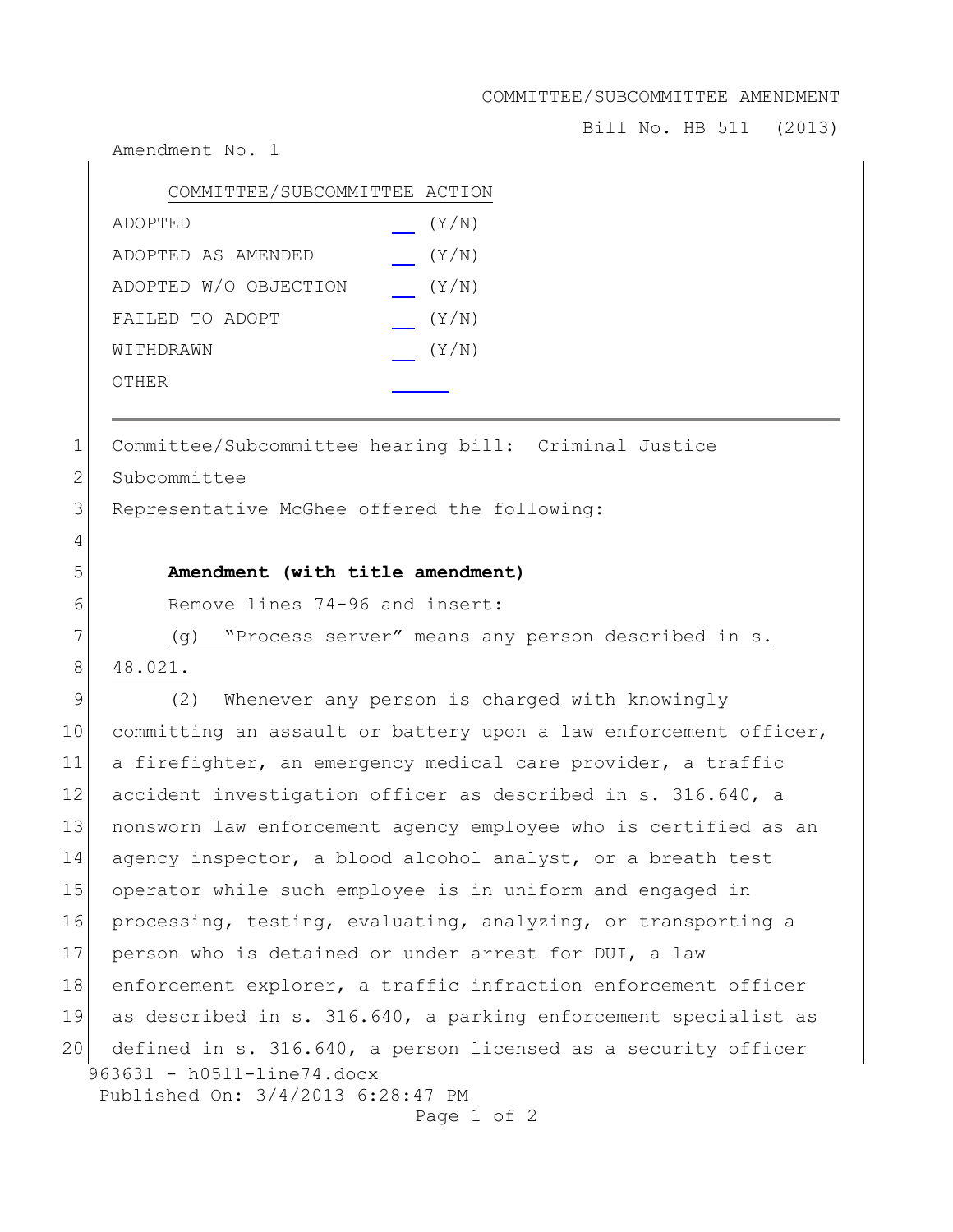COMMITTEE/SUBCOMMITTEE AMENDMENT

Bill No. HB 511 (2013)

Amendment No. 1

| COMMITTEE/SUBCOMMITTEE ACTION |       |
|-------------------------------|-------|
| ADOPTED                       | (Y/N) |
| ADOPTED AS AMENDED            | (Y/N) |
| ADOPTED W/O OBJECTION         | (Y/N) |
| FAILED TO ADOPT               | (Y/N) |
| WITHDRAWN                     | (Y/N) |
| OTHER                         |       |

1 Committee/Subcommittee hearing bill: Criminal Justice

2 Subcommittee

3 Representative McGhee offered the following:

## 5 **Amendment (with title amendment)**

6 Remove lines 74-96 and insert:

7 (g) "Process server" means any person described in s.

8 48.021.

4

963631 - h0511-line74.docx Published On: 3/4/2013 6:28:47 PM 9 (2) Whenever any person is charged with knowingly 10 committing an assault or battery upon a law enforcement officer, 11 a firefighter, an emergency medical care provider, a traffic 12 accident investigation officer as described in s. 316.640, a 13 nonsworn law enforcement agency employee who is certified as an 14 agency inspector, a blood alcohol analyst, or a breath test 15 operator while such employee is in uniform and engaged in 16 processing, testing, evaluating, analyzing, or transporting a 17 person who is detained or under arrest for DUI, a law 18 enforcement explorer, a traffic infraction enforcement officer 19 as described in s. 316.640, a parking enforcement specialist as 20 defined in s. 316.640, a person licensed as a security officer

Page 1 of 2